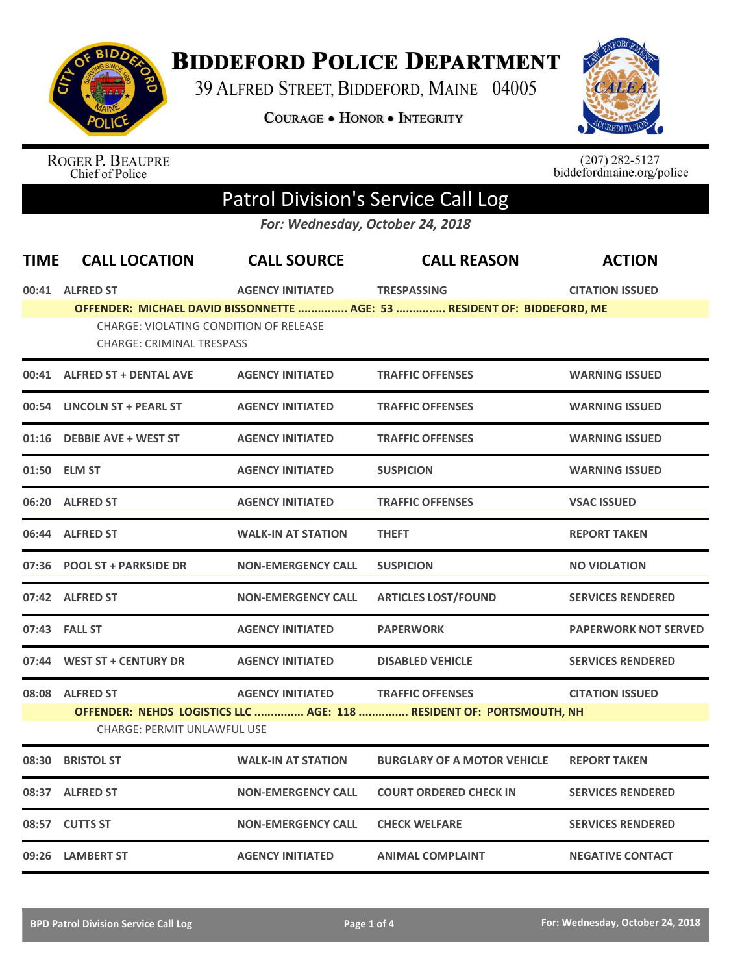

## **BIDDEFORD POLICE DEPARTMENT**

39 ALFRED STREET, BIDDEFORD, MAINE 04005

COURAGE . HONOR . INTEGRITY



ROGER P. BEAUPRE<br>Chief of Police

 $(207)$  282-5127<br>biddefordmaine.org/police

## Patrol Division's Service Call Log

*For: Wednesday, October 24, 2018*

| <b>TIME</b> | <b>CALL LOCATION</b>                                                              | <b>CALL SOURCE</b>        | <b>CALL REASON</b>                                                       | <b>ACTION</b>               |
|-------------|-----------------------------------------------------------------------------------|---------------------------|--------------------------------------------------------------------------|-----------------------------|
|             | 00:41 ALFRED ST                                                                   | <b>AGENCY INITIATED</b>   | <b>TRESPASSING</b>                                                       | <b>CITATION ISSUED</b>      |
|             |                                                                                   |                           | OFFENDER: MICHAEL DAVID BISSONNETTE  AGE: 53  RESIDENT OF: BIDDEFORD, ME |                             |
|             | <b>CHARGE: VIOLATING CONDITION OF RELEASE</b><br><b>CHARGE: CRIMINAL TRESPASS</b> |                           |                                                                          |                             |
|             | 00:41 ALFRED ST + DENTAL AVE                                                      | <b>AGENCY INITIATED</b>   | <b>TRAFFIC OFFENSES</b>                                                  | <b>WARNING ISSUED</b>       |
|             | 00:54 LINCOLN ST + PEARL ST                                                       | <b>AGENCY INITIATED</b>   | <b>TRAFFIC OFFENSES</b>                                                  | <b>WARNING ISSUED</b>       |
|             | 01:16 DEBBIE AVE + WEST ST                                                        | <b>AGENCY INITIATED</b>   | <b>TRAFFIC OFFENSES</b>                                                  | <b>WARNING ISSUED</b>       |
|             | 01:50 ELM ST                                                                      | <b>AGENCY INITIATED</b>   | <b>SUSPICION</b>                                                         | <b>WARNING ISSUED</b>       |
|             | 06:20 ALFRED ST                                                                   | <b>AGENCY INITIATED</b>   | <b>TRAFFIC OFFENSES</b>                                                  | <b>VSAC ISSUED</b>          |
|             | 06:44 ALFRED ST                                                                   | <b>WALK-IN AT STATION</b> | <b>THEFT</b>                                                             | <b>REPORT TAKEN</b>         |
|             | 07:36 POOL ST + PARKSIDE DR                                                       | <b>NON-EMERGENCY CALL</b> | <b>SUSPICION</b>                                                         | <b>NO VIOLATION</b>         |
|             | 07:42 ALFRED ST                                                                   | <b>NON-EMERGENCY CALL</b> | <b>ARTICLES LOST/FOUND</b>                                               | <b>SERVICES RENDERED</b>    |
|             | 07:43 FALL ST                                                                     | <b>AGENCY INITIATED</b>   | <b>PAPERWORK</b>                                                         | <b>PAPERWORK NOT SERVED</b> |
|             | 07:44 WEST ST + CENTURY DR                                                        | <b>AGENCY INITIATED</b>   | <b>DISABLED VEHICLE</b>                                                  | <b>SERVICES RENDERED</b>    |
|             | 08:08 ALFRED ST                                                                   | <b>AGENCY INITIATED</b>   | <b>TRAFFIC OFFENSES</b>                                                  | <b>CITATION ISSUED</b>      |
|             |                                                                                   |                           | OFFENDER: NEHDS LOGISTICS LLC  AGE: 118  RESIDENT OF: PORTSMOUTH, NH     |                             |
|             | <b>CHARGE: PERMIT UNLAWFUL USE</b>                                                |                           |                                                                          |                             |
| 08:30       | <b>BRISTOL ST</b>                                                                 | <b>WALK-IN AT STATION</b> | <b>BURGLARY OF A MOTOR VEHICLE</b>                                       | <b>REPORT TAKEN</b>         |
|             | 08:37 ALFRED ST                                                                   | <b>NON-EMERGENCY CALL</b> | <b>COURT ORDERED CHECK IN</b>                                            | <b>SERVICES RENDERED</b>    |
|             | 08:57 CUTTS ST                                                                    | <b>NON-EMERGENCY CALL</b> | <b>CHECK WELFARE</b>                                                     | <b>SERVICES RENDERED</b>    |
|             | 09:26 LAMBERT ST                                                                  | <b>AGENCY INITIATED</b>   | <b>ANIMAL COMPLAINT</b>                                                  | <b>NEGATIVE CONTACT</b>     |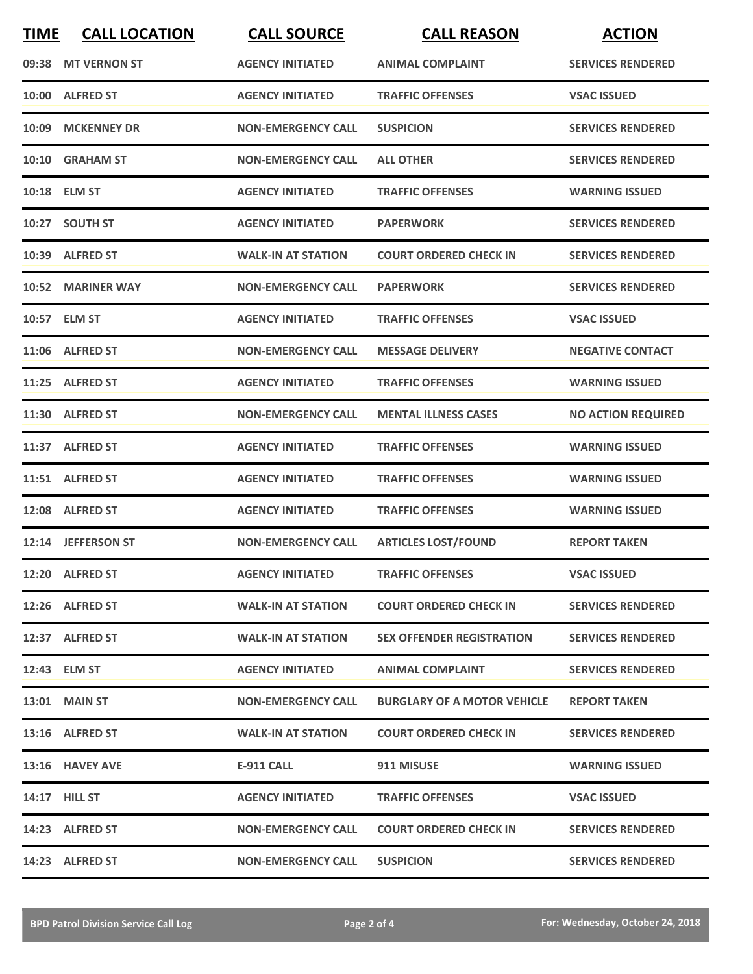| <b>TIME</b> | <b>CALL LOCATION</b> | <b>CALL SOURCE</b>        | <b>CALL REASON</b>                 | <b>ACTION</b>             |
|-------------|----------------------|---------------------------|------------------------------------|---------------------------|
|             | 09:38 MT VERNON ST   | <b>AGENCY INITIATED</b>   | <b>ANIMAL COMPLAINT</b>            | <b>SERVICES RENDERED</b>  |
| 10:00       | <b>ALFRED ST</b>     | <b>AGENCY INITIATED</b>   | <b>TRAFFIC OFFENSES</b>            | <b>VSAC ISSUED</b>        |
| 10:09       | <b>MCKENNEY DR</b>   | <b>NON-EMERGENCY CALL</b> | <b>SUSPICION</b>                   | <b>SERVICES RENDERED</b>  |
|             | 10:10 GRAHAM ST      | <b>NON-EMERGENCY CALL</b> | <b>ALL OTHER</b>                   | <b>SERVICES RENDERED</b>  |
|             | 10:18 ELM ST         | <b>AGENCY INITIATED</b>   | <b>TRAFFIC OFFENSES</b>            | <b>WARNING ISSUED</b>     |
|             | 10:27 SOUTH ST       | <b>AGENCY INITIATED</b>   | <b>PAPERWORK</b>                   | <b>SERVICES RENDERED</b>  |
|             | 10:39 ALFRED ST      | <b>WALK-IN AT STATION</b> | <b>COURT ORDERED CHECK IN</b>      | <b>SERVICES RENDERED</b>  |
|             | 10:52 MARINER WAY    | <b>NON-EMERGENCY CALL</b> | <b>PAPERWORK</b>                   | <b>SERVICES RENDERED</b>  |
|             | 10:57 ELM ST         | <b>AGENCY INITIATED</b>   | <b>TRAFFIC OFFENSES</b>            | <b>VSAC ISSUED</b>        |
|             | 11:06 ALFRED ST      | <b>NON-EMERGENCY CALL</b> | <b>MESSAGE DELIVERY</b>            | <b>NEGATIVE CONTACT</b>   |
|             | 11:25 ALFRED ST      | <b>AGENCY INITIATED</b>   | <b>TRAFFIC OFFENSES</b>            | <b>WARNING ISSUED</b>     |
|             | 11:30 ALFRED ST      | <b>NON-EMERGENCY CALL</b> | <b>MENTAL ILLNESS CASES</b>        | <b>NO ACTION REQUIRED</b> |
|             | 11:37 ALFRED ST      | <b>AGENCY INITIATED</b>   | <b>TRAFFIC OFFENSES</b>            | <b>WARNING ISSUED</b>     |
|             | 11:51 ALFRED ST      | <b>AGENCY INITIATED</b>   | <b>TRAFFIC OFFENSES</b>            | <b>WARNING ISSUED</b>     |
|             | 12:08 ALFRED ST      | <b>AGENCY INITIATED</b>   | <b>TRAFFIC OFFENSES</b>            | <b>WARNING ISSUED</b>     |
|             | 12:14 JEFFERSON ST   | <b>NON-EMERGENCY CALL</b> | <b>ARTICLES LOST/FOUND</b>         | <b>REPORT TAKEN</b>       |
|             | 12:20 ALFRED ST      | <b>AGENCY INITIATED</b>   | <b>TRAFFIC OFFENSES</b>            | <b>VSAC ISSUED</b>        |
|             | 12:26 ALFRED ST      | <b>WALK-IN AT STATION</b> | <b>COURT ORDERED CHECK IN</b>      | <b>SERVICES RENDERED</b>  |
|             | 12:37 ALFRED ST      | <b>WALK-IN AT STATION</b> | <b>SEX OFFENDER REGISTRATION</b>   | <b>SERVICES RENDERED</b>  |
|             | 12:43 ELM ST         | <b>AGENCY INITIATED</b>   | <b>ANIMAL COMPLAINT</b>            | <b>SERVICES RENDERED</b>  |
|             | <b>13:01 MAIN ST</b> | <b>NON-EMERGENCY CALL</b> | <b>BURGLARY OF A MOTOR VEHICLE</b> | <b>REPORT TAKEN</b>       |
|             | 13:16 ALFRED ST      | <b>WALK-IN AT STATION</b> | <b>COURT ORDERED CHECK IN</b>      | <b>SERVICES RENDERED</b>  |
|             | 13:16 HAVEY AVE      | E-911 CALL                | 911 MISUSE                         | <b>WARNING ISSUED</b>     |
|             | 14:17 HILL ST        | <b>AGENCY INITIATED</b>   | <b>TRAFFIC OFFENSES</b>            | <b>VSAC ISSUED</b>        |
|             | 14:23 ALFRED ST      | <b>NON-EMERGENCY CALL</b> | <b>COURT ORDERED CHECK IN</b>      | <b>SERVICES RENDERED</b>  |
|             | 14:23 ALFRED ST      | <b>NON-EMERGENCY CALL</b> | <b>SUSPICION</b>                   | <b>SERVICES RENDERED</b>  |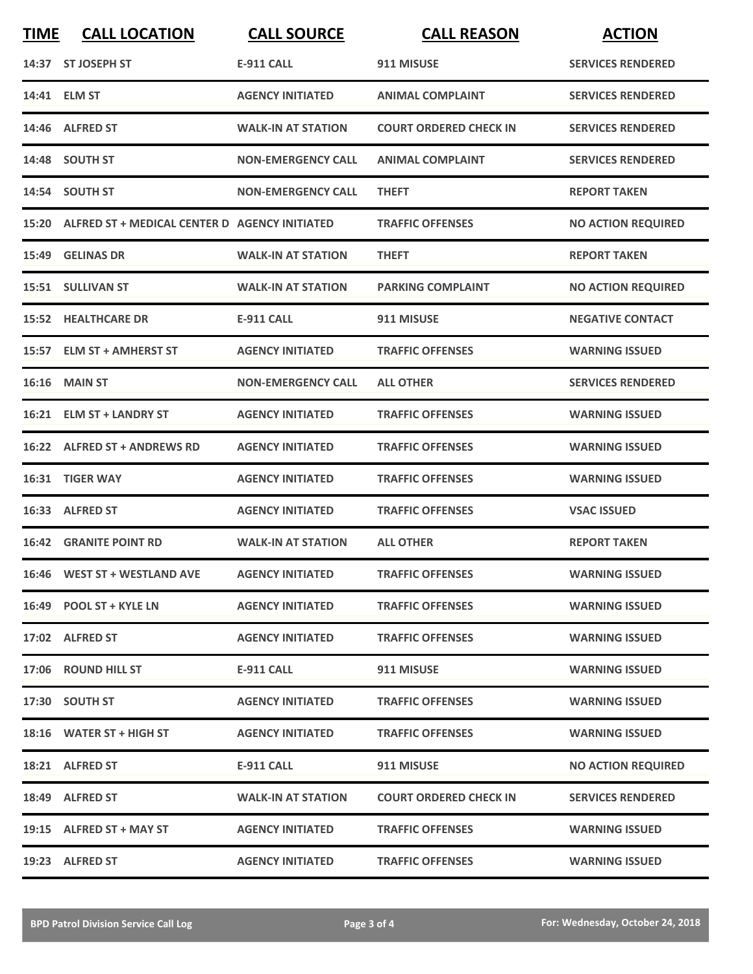| <b>TIME</b> | <b>CALL LOCATION</b>                                | <b>CALL SOURCE</b>        | <b>CALL REASON</b>            | <b>ACTION</b>             |
|-------------|-----------------------------------------------------|---------------------------|-------------------------------|---------------------------|
|             | 14:37 ST JOSEPH ST                                  | <b>E-911 CALL</b>         | 911 MISUSE                    | <b>SERVICES RENDERED</b>  |
|             | 14:41 ELM ST                                        | <b>AGENCY INITIATED</b>   | <b>ANIMAL COMPLAINT</b>       | <b>SERVICES RENDERED</b>  |
|             | 14:46 ALFRED ST                                     | <b>WALK-IN AT STATION</b> | <b>COURT ORDERED CHECK IN</b> | <b>SERVICES RENDERED</b>  |
|             | 14:48 SOUTH ST                                      | <b>NON-EMERGENCY CALL</b> | <b>ANIMAL COMPLAINT</b>       | <b>SERVICES RENDERED</b>  |
|             | 14:54 SOUTH ST                                      | <b>NON-EMERGENCY CALL</b> | <b>THEFT</b>                  | <b>REPORT TAKEN</b>       |
|             | 15:20 ALFRED ST + MEDICAL CENTER D AGENCY INITIATED |                           | <b>TRAFFIC OFFENSES</b>       | <b>NO ACTION REQUIRED</b> |
|             | 15:49 GELINAS DR                                    | <b>WALK-IN AT STATION</b> | <b>THEFT</b>                  | <b>REPORT TAKEN</b>       |
|             | 15:51 SULLIVAN ST                                   | <b>WALK-IN AT STATION</b> | <b>PARKING COMPLAINT</b>      | <b>NO ACTION REQUIRED</b> |
|             | <b>15:52 HEALTHCARE DR</b>                          | <b>E-911 CALL</b>         | 911 MISUSE                    | <b>NEGATIVE CONTACT</b>   |
|             | 15:57 ELM ST + AMHERST ST                           | <b>AGENCY INITIATED</b>   | <b>TRAFFIC OFFENSES</b>       | <b>WARNING ISSUED</b>     |
|             | <b>16:16 MAIN ST</b>                                | <b>NON-EMERGENCY CALL</b> | <b>ALL OTHER</b>              | <b>SERVICES RENDERED</b>  |
|             | 16:21 ELM ST + LANDRY ST                            | <b>AGENCY INITIATED</b>   | <b>TRAFFIC OFFENSES</b>       | <b>WARNING ISSUED</b>     |
|             | 16:22 ALFRED ST + ANDREWS RD                        | <b>AGENCY INITIATED</b>   | <b>TRAFFIC OFFENSES</b>       | <b>WARNING ISSUED</b>     |
| 16:31       | <b>TIGER WAY</b>                                    | <b>AGENCY INITIATED</b>   | <b>TRAFFIC OFFENSES</b>       | <b>WARNING ISSUED</b>     |
|             | 16:33 ALFRED ST                                     | <b>AGENCY INITIATED</b>   | <b>TRAFFIC OFFENSES</b>       | <b>VSAC ISSUED</b>        |
|             | <b>16:42 GRANITE POINT RD</b>                       | <b>WALK-IN AT STATION</b> | <b>ALL OTHER</b>              | <b>REPORT TAKEN</b>       |
|             | 16:46 WEST ST + WESTLAND AVE                        | <b>AGENCY INITIATED</b>   | <b>TRAFFIC OFFENSES</b>       | <b>WARNING ISSUED</b>     |
|             | 16:49 POOL ST + KYLE LN                             | <b>AGENCY INITIATED</b>   | <b>TRAFFIC OFFENSES</b>       | <b>WARNING ISSUED</b>     |
|             | 17:02 ALFRED ST                                     | <b>AGENCY INITIATED</b>   | <b>TRAFFIC OFFENSES</b>       | <b>WARNING ISSUED</b>     |
|             | 17:06 ROUND HILL ST                                 | <b>E-911 CALL</b>         | 911 MISUSE                    | <b>WARNING ISSUED</b>     |
|             | 17:30 SOUTH ST                                      | <b>AGENCY INITIATED</b>   | <b>TRAFFIC OFFENSES</b>       | <b>WARNING ISSUED</b>     |
|             | 18:16 WATER ST + HIGH ST                            | <b>AGENCY INITIATED</b>   | <b>TRAFFIC OFFENSES</b>       | <b>WARNING ISSUED</b>     |
|             | 18:21 ALFRED ST                                     | E-911 CALL                | 911 MISUSE                    | <b>NO ACTION REQUIRED</b> |
|             | 18:49 ALFRED ST                                     | <b>WALK-IN AT STATION</b> | <b>COURT ORDERED CHECK IN</b> | <b>SERVICES RENDERED</b>  |
|             | 19:15 ALFRED ST + MAY ST                            | <b>AGENCY INITIATED</b>   | <b>TRAFFIC OFFENSES</b>       | <b>WARNING ISSUED</b>     |
|             | 19:23 ALFRED ST                                     | <b>AGENCY INITIATED</b>   | <b>TRAFFIC OFFENSES</b>       | <b>WARNING ISSUED</b>     |